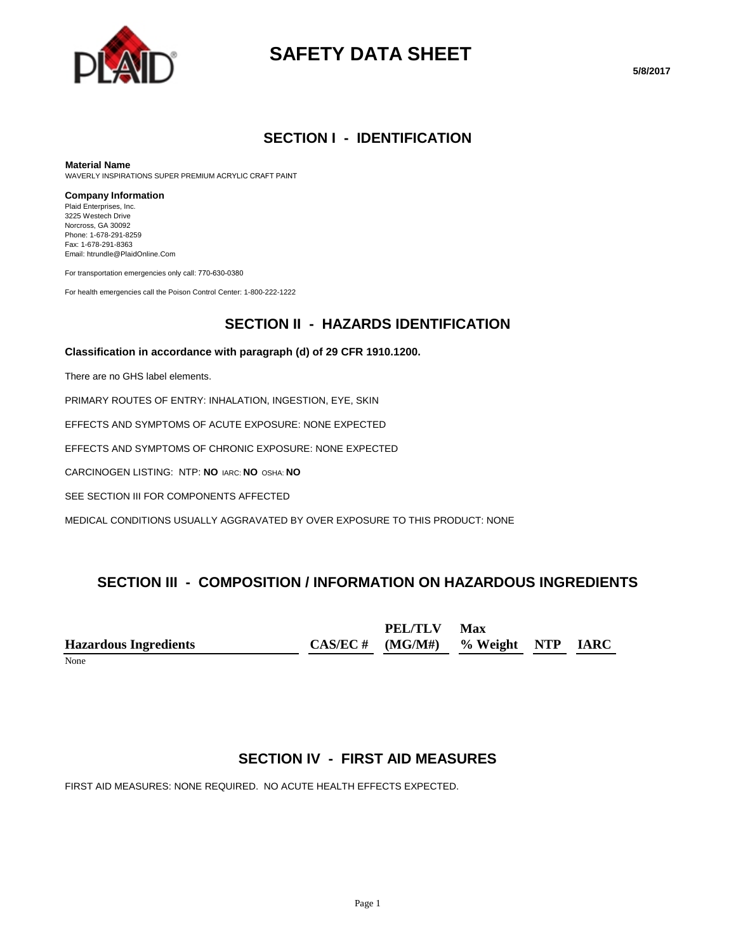

# **SAFETY DATA SHEET**

### **SECTION I - IDENTIFICATION**

#### **Material Name**

WAVERLY INSPIRATIONS SUPER PREMIUM ACRYLIC CRAFT PAINT

#### **Company Information**

Plaid Enterprises, Inc. 3225 Westech Drive Norcross, GA 30092 Phone: 1-678-291-8259 Fax: 1-678-291-8363 Email: htrundle@PlaidOnline.Com

For transportation emergencies only call: 770-630-0380

For health emergencies call the Poison Control Center: 1-800-222-1222

#### **SECTION II - HAZARDS IDENTIFICATION**

#### **Classification in accordance with paragraph (d) of 29 CFR 1910.1200.**

There are no GHS label elements.

PRIMARY ROUTES OF ENTRY: INHALATION, INGESTION, EYE, SKIN

EFFECTS AND SYMPTOMS OF ACUTE EXPOSURE: NONE EXPECTED

EFFECTS AND SYMPTOMS OF CHRONIC EXPOSURE: NONE EXPECTED

CARCINOGEN LISTING: NTP: **NO** IARC: **NO** OSHA: **NO**

SEE SECTION III FOR COMPONENTS AFFECTED

MEDICAL CONDITIONS USUALLY AGGRAVATED BY OVER EXPOSURE TO THIS PRODUCT: NONE

## **SECTION III - COMPOSITION / INFORMATION ON HAZARDOUS INGREDIENTS**

**Hazardous Ingredients CAS/EC # PEL/TLV (MG/M#) Max % Weight NTP IARC**

None

## **SECTION IV - FIRST AID MEASURES**

FIRST AID MEASURES: NONE REQUIRED. NO ACUTE HEALTH EFFECTS EXPECTED.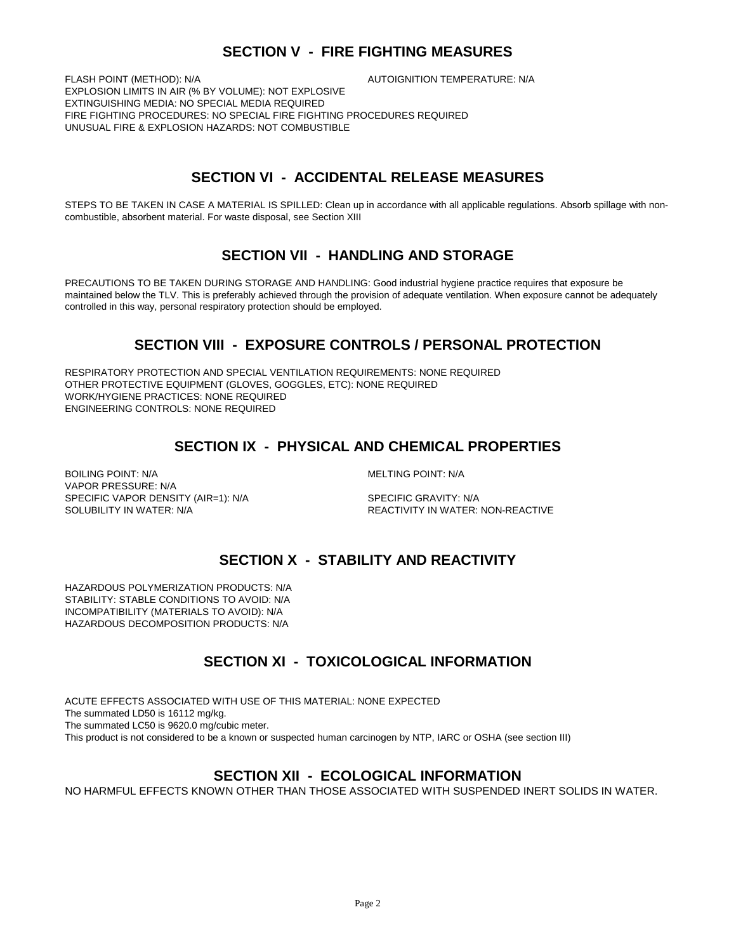## **SECTION V - FIRE FIGHTING MEASURES**

FLASH POINT (METHOD): N/A  $\overline{A}$  autoignition temperature: N/A EXPLOSION LIMITS IN AIR (% BY VOLUME): NOT EXPLOSIVE EXTINGUISHING MEDIA: NO SPECIAL MEDIA REQUIRED FIRE FIGHTING PROCEDURES: NO SPECIAL FIRE FIGHTING PROCEDURES REQUIRED UNUSUAL FIRE & EXPLOSION HAZARDS: NOT COMBUSTIBLE

## **SECTION VI - ACCIDENTAL RELEASE MEASURES**

STEPS TO BE TAKEN IN CASE A MATERIAL IS SPILLED: Clean up in accordance with all applicable regulations. Absorb spillage with noncombustible, absorbent material. For waste disposal, see Section XIII

## **SECTION VII - HANDLING AND STORAGE**

PRECAUTIONS TO BE TAKEN DURING STORAGE AND HANDLING: Good industrial hygiene practice requires that exposure be maintained below the TLV. This is preferably achieved through the provision of adequate ventilation. When exposure cannot be adequately controlled in this way, personal respiratory protection should be employed.

## **SECTION VIII - EXPOSURE CONTROLS / PERSONAL PROTECTION**

RESPIRATORY PROTECTION AND SPECIAL VENTILATION REQUIREMENTS: NONE REQUIRED OTHER PROTECTIVE EQUIPMENT (GLOVES, GOGGLES, ETC): NONE REQUIRED WORK/HYGIENE PRACTICES: NONE REQUIRED ENGINEERING CONTROLS: NONE REQUIRED

## **SECTION IX - PHYSICAL AND CHEMICAL PROPERTIES**

BOILING POINT: N/A GENERAL MELTING POINT: N/A VAPOR PRESSURE: N/A SPECIFIC VAPOR DENSITY (AIR=1): N/A SPECIFIC GRAVITY: N/A SOLUBILITY IN WATER: N/A REACTIVITY IN WATER: NON-REACTIVE

## **SECTION X - STABILITY AND REACTIVITY**

HAZARDOUS POLYMERIZATION PRODUCTS: N/A STABILITY: STABLE CONDITIONS TO AVOID: N/A INCOMPATIBILITY (MATERIALS TO AVOID): N/A HAZARDOUS DECOMPOSITION PRODUCTS: N/A

## **SECTION XI - TOXICOLOGICAL INFORMATION**

ACUTE EFFECTS ASSOCIATED WITH USE OF THIS MATERIAL: NONE EXPECTED The summated LD50 is 16112 mg/kg. The summated LC50 is 9620.0 mg/cubic meter. This product is not considered to be a known or suspected human carcinogen by NTP, IARC or OSHA (see section III)

#### **SECTION XII - ECOLOGICAL INFORMATION**

NO HARMFUL EFFECTS KNOWN OTHER THAN THOSE ASSOCIATED WITH SUSPENDED INERT SOLIDS IN WATER.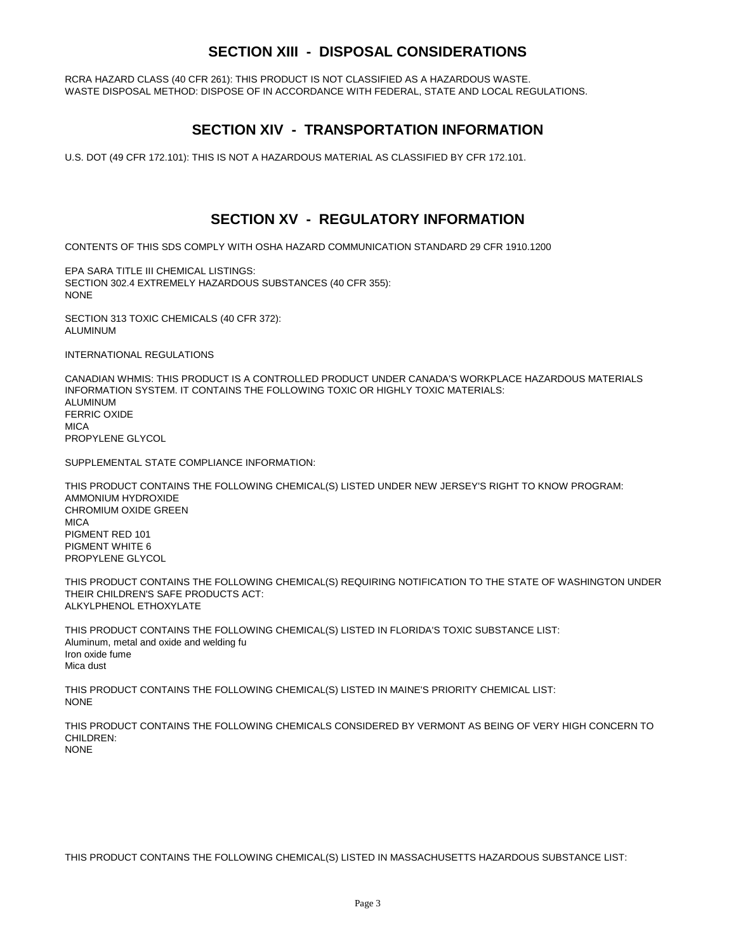## **SECTION XIII - DISPOSAL CONSIDERATIONS**

RCRA HAZARD CLASS (40 CFR 261): THIS PRODUCT IS NOT CLASSIFIED AS A HAZARDOUS WASTE. WASTE DISPOSAL METHOD: DISPOSE OF IN ACCORDANCE WITH FEDERAL, STATE AND LOCAL REGULATIONS.

### **SECTION XIV - TRANSPORTATION INFORMATION**

U.S. DOT (49 CFR 172.101): THIS IS NOT A HAZARDOUS MATERIAL AS CLASSIFIED BY CFR 172.101.

### **SECTION XV - REGULATORY INFORMATION**

CONTENTS OF THIS SDS COMPLY WITH OSHA HAZARD COMMUNICATION STANDARD 29 CFR 1910.1200

EPA SARA TITLE III CHEMICAL LISTINGS: SECTION 302.4 EXTREMELY HAZARDOUS SUBSTANCES (40 CFR 355): NONE

SECTION 313 TOXIC CHEMICALS (40 CFR 372): ALUMINUM

INTERNATIONAL REGULATIONS

CANADIAN WHMIS: THIS PRODUCT IS A CONTROLLED PRODUCT UNDER CANADA'S WORKPLACE HAZARDOUS MATERIALS INFORMATION SYSTEM. IT CONTAINS THE FOLLOWING TOXIC OR HIGHLY TOXIC MATERIALS: ALUMINUM FERRIC OXIDE **MICA** PROPYLENE GLYCOL

SUPPLEMENTAL STATE COMPLIANCE INFORMATION:

THIS PRODUCT CONTAINS THE FOLLOWING CHEMICAL(S) LISTED UNDER NEW JERSEY'S RIGHT TO KNOW PROGRAM: AMMONIUM HYDROXIDE CHROMIUM OXIDE GREEN **MICA** PIGMENT RED 101 PIGMENT WHITE 6 PROPYLENE GLYCOL

THIS PRODUCT CONTAINS THE FOLLOWING CHEMICAL(S) REQUIRING NOTIFICATION TO THE STATE OF WASHINGTON UNDER THEIR CHILDREN'S SAFE PRODUCTS ACT: ALKYLPHENOL ETHOXYLATE

THIS PRODUCT CONTAINS THE FOLLOWING CHEMICAL(S) LISTED IN FLORIDA'S TOXIC SUBSTANCE LIST: Aluminum, metal and oxide and welding fu Iron oxide fume Mica dust

THIS PRODUCT CONTAINS THE FOLLOWING CHEMICAL(S) LISTED IN MAINE'S PRIORITY CHEMICAL LIST: **NONE** 

THIS PRODUCT CONTAINS THE FOLLOWING CHEMICALS CONSIDERED BY VERMONT AS BEING OF VERY HIGH CONCERN TO CHILDREN: NONE

THIS PRODUCT CONTAINS THE FOLLOWING CHEMICAL(S) LISTED IN MASSACHUSETTS HAZARDOUS SUBSTANCE LIST: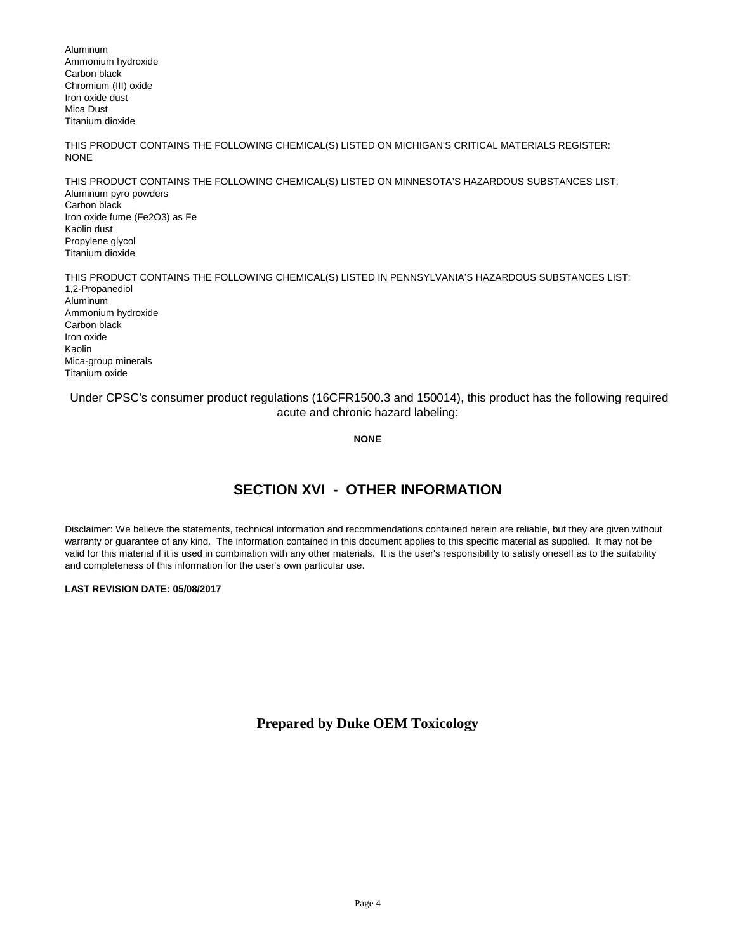Aluminum Ammonium hydroxide Carbon black Chromium (III) oxide Iron oxide dust Mica Dust Titanium dioxide

THIS PRODUCT CONTAINS THE FOLLOWING CHEMICAL(S) LISTED ON MICHIGAN'S CRITICAL MATERIALS REGISTER: NONE

THIS PRODUCT CONTAINS THE FOLLOWING CHEMICAL(S) LISTED ON MINNESOTA'S HAZARDOUS SUBSTANCES LIST: Aluminum pyro powders Carbon black Iron oxide fume (Fe2O3) as Fe Kaolin dust Propylene glycol Titanium dioxide

THIS PRODUCT CONTAINS THE FOLLOWING CHEMICAL(S) LISTED IN PENNSYLVANIA'S HAZARDOUS SUBSTANCES LIST: 1,2-Propanediol Aluminum Ammonium hydroxide Carbon black Iron oxide Kaolin Mica-group minerals Titanium oxide

Under CPSC's consumer product regulations (16CFR1500.3 and 150014), this product has the following required acute and chronic hazard labeling:

**NONE**

## **SECTION XVI - OTHER INFORMATION**

Disclaimer: We believe the statements, technical information and recommendations contained herein are reliable, but they are given without warranty or guarantee of any kind. The information contained in this document applies to this specific material as supplied. It may not be valid for this material if it is used in combination with any other materials. It is the user's responsibility to satisfy oneself as to the suitability and completeness of this information for the user's own particular use.

#### **LAST REVISION DATE: 05/08/2017**

**Prepared by Duke OEM Toxicology**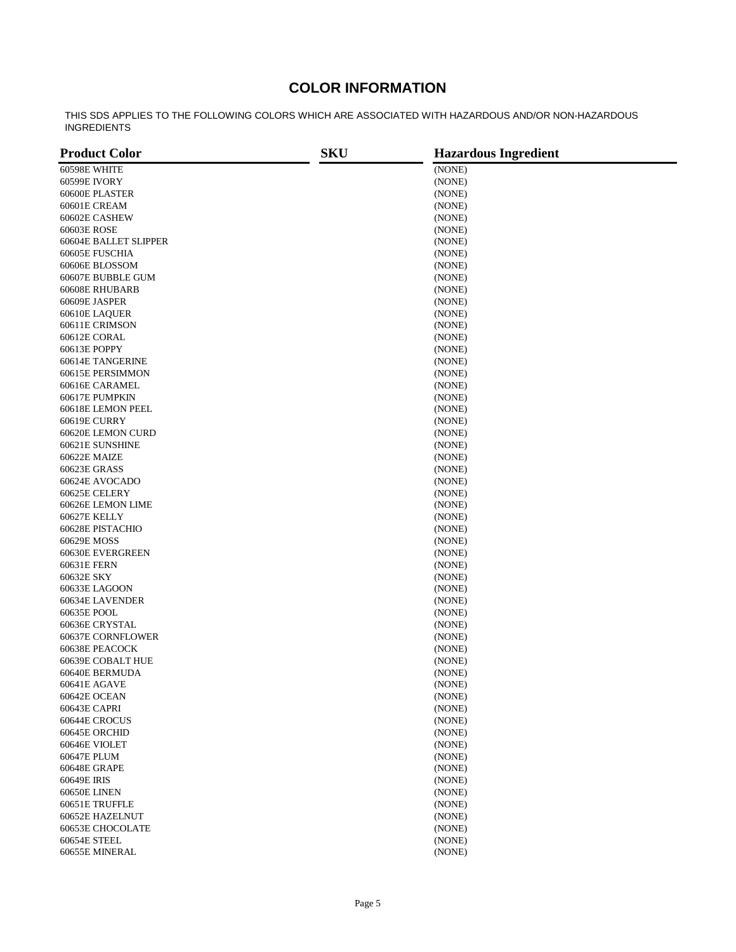## **COLOR INFORMATION**

THIS SDS APPLIES TO THE FOLLOWING COLORS WHICH ARE ASSOCIATED WITH HAZARDOUS AND/OR NON-HAZARDOUS INGREDIENTS

| <b>Product Color</b>         | <b>SKU</b> | <b>Hazardous Ingredient</b> |  |
|------------------------------|------------|-----------------------------|--|
| 60598E WHITE                 |            | (NONE)                      |  |
| 60599E IVORY                 |            | (NONE)                      |  |
| 60600E PLASTER               |            | (NONE)                      |  |
| 60601E CREAM                 |            | (NONE)                      |  |
| 60602E CASHEW                |            | (NONE)                      |  |
| 60603E ROSE                  |            | (NONE)                      |  |
| 60604E BALLET SLIPPER        |            | (NONE)                      |  |
| 60605E FUSCHIA               |            | (NONE)                      |  |
| 60606E BLOSSOM               |            | (NONE)                      |  |
| 60607E BUBBLE GUM            |            | (NONE)                      |  |
| 60608E RHUBARB               |            | (NONE)                      |  |
| 60609E JASPER                |            | (NONE)                      |  |
| 60610E LAQUER                |            | (NONE)                      |  |
| 60611E CRIMSON               |            | (NONE)                      |  |
|                              |            |                             |  |
| 60612E CORAL<br>60613E POPPY |            | (NONE)<br>(NONE)            |  |
|                              |            |                             |  |
| 60614E TANGERINE             |            | (NONE)                      |  |
| 60615E PERSIMMON             |            | (NONE)                      |  |
| 60616E CARAMEL               |            | (NONE)                      |  |
| 60617E PUMPKIN               |            | (NONE)                      |  |
| 60618E LEMON PEEL            |            | (NONE)                      |  |
| <b>60619E CURRY</b>          |            | (NONE)                      |  |
| 60620E LEMON CURD            |            | (NONE)                      |  |
| 60621E SUNSHINE              |            | (NONE)                      |  |
| 60622E MAIZE                 |            | (NONE)                      |  |
| 60623E GRASS                 |            | (NONE)                      |  |
| 60624E AVOCADO               |            | (NONE)                      |  |
| 60625E CELERY                |            | (NONE)                      |  |
| 60626E LEMON LIME            |            | (NONE)                      |  |
| 60627E KELLY                 |            | (NONE)                      |  |
| 60628E PISTACHIO             |            | (NONE)                      |  |
| 60629E MOSS                  |            | (NONE)                      |  |
| 60630E EVERGREEN             |            | (NONE)                      |  |
| 60631E FERN                  |            | (NONE)                      |  |
| 60632E SKY                   |            | (NONE)                      |  |
| 60633E LAGOON                |            | (NONE)                      |  |
| 60634E LAVENDER              |            | (NONE)                      |  |
| 60635E POOL                  |            | (NONE)                      |  |
| 60636E CRYSTAL               |            | (NONE)                      |  |
| 60637E CORNFLOWER            |            | (NONE)                      |  |
| 60638E PEACOCK               |            | (NONE)                      |  |
| 60639E COBALT HUE            |            | (NONE)                      |  |
| 60640E BERMUDA               |            | (NONE)                      |  |
| 60641E AGAVE                 |            | (NONE)                      |  |
| 60642E OCEAN                 |            | (NONE)                      |  |
| 60643E CAPRI                 |            | (NONE)                      |  |
| 60644E CROCUS                |            | (NONE)                      |  |
| 60645E ORCHID                |            | (NONE)                      |  |
| 60646E VIOLET                |            | (NONE)                      |  |
| 60647E PLUM                  |            | (NONE)                      |  |
| 60648E GRAPE                 |            | (NONE)                      |  |
| 60649E IRIS                  |            | (NONE)                      |  |
| <b>60650E LINEN</b>          |            | (NONE)                      |  |
| 60651E TRUFFLE               |            | (NONE)                      |  |
| 60652E HAZELNUT              |            | (NONE)                      |  |
| 60653E CHOCOLATE             |            | (NONE)                      |  |
| 60654E STEEL                 |            | (NONE)                      |  |
| 60655E MINERAL               |            | (NONE)                      |  |